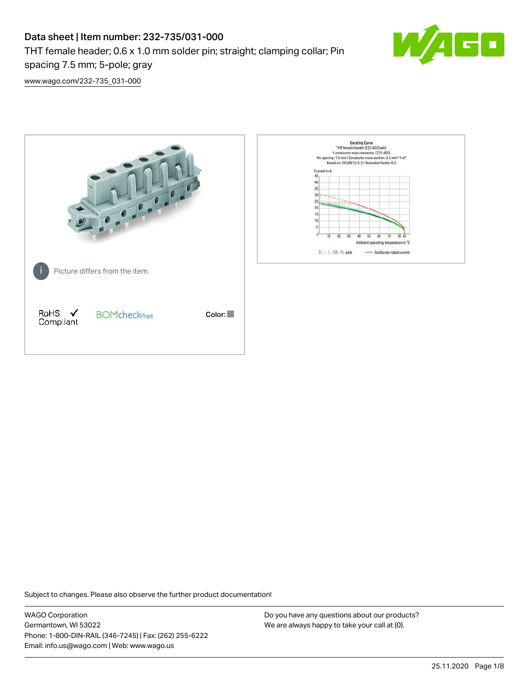# Data sheet | Item number: 232-735/031-000 THT female header; 0.6 x 1.0 mm solder pin; straight; clamping collar; Pin spacing 7.5 mm; 5-pole; gray



[www.wago.com/232-735\\_031-000](http://www.wago.com/232-735_031-000)



Subject to changes. Please also observe the further product documentation!

WAGO Corporation Germantown, WI 53022 Phone: 1-800-DIN-RAIL (346-7245) | Fax: (262) 255-6222 Email: info.us@wago.com | Web: www.wago.us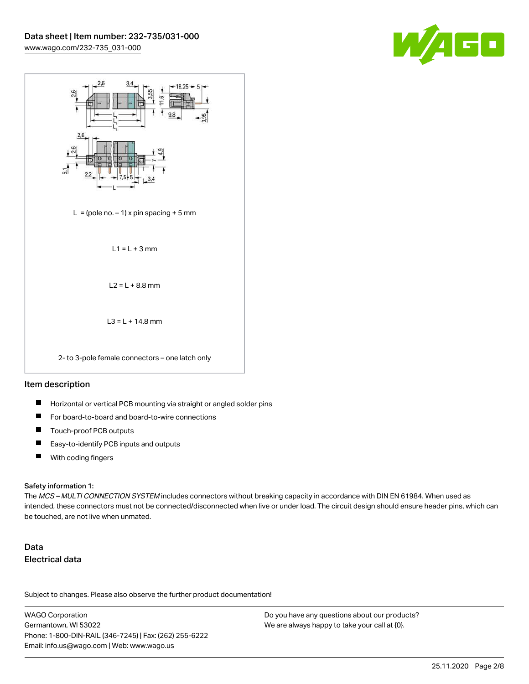



#### Item description

- П Horizontal or vertical PCB mounting via straight or angled solder pins
- П For board-to-board and board-to-wire connections
- П Touch-proof PCB outputs
- $\blacksquare$ Easy-to-identify PCB inputs and outputs
- $\blacksquare$ With coding fingers

#### Safety information 1:

The MCS - MULTI CONNECTION SYSTEM includes connectors without breaking capacity in accordance with DIN EN 61984. When used as intended, these connectors must not be connected/disconnected when live or under load. The circuit design should ensure header pins, which can be touched, are not live when unmated.

## Data Electrical data

Subject to changes. Please also observe the further product documentation!

WAGO Corporation Germantown, WI 53022 Phone: 1-800-DIN-RAIL (346-7245) | Fax: (262) 255-6222 Email: info.us@wago.com | Web: www.wago.us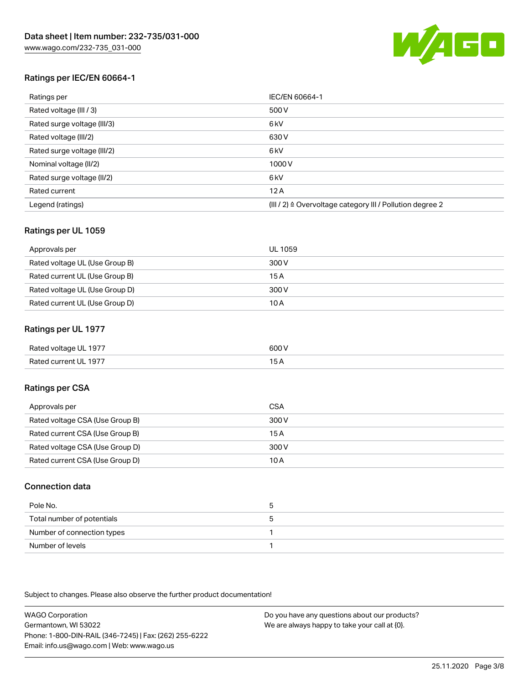

### Ratings per IEC/EN 60664-1

| Ratings per                 | IEC/EN 60664-1                                            |
|-----------------------------|-----------------------------------------------------------|
| Rated voltage (III / 3)     | 500 V                                                     |
| Rated surge voltage (III/3) | 6 <sub>kV</sub>                                           |
| Rated voltage (III/2)       | 630 V                                                     |
| Rated surge voltage (III/2) | 6 <sub>kV</sub>                                           |
| Nominal voltage (II/2)      | 1000V                                                     |
| Rated surge voltage (II/2)  | 6 <sub>kV</sub>                                           |
| Rated current               | 12A                                                       |
| Legend (ratings)            | (III / 2) ≙ Overvoltage category III / Pollution degree 2 |

#### Ratings per UL 1059

| Approvals per                  | UL 1059 |
|--------------------------------|---------|
| Rated voltage UL (Use Group B) | 300 V   |
| Rated current UL (Use Group B) | 15 A    |
| Rated voltage UL (Use Group D) | 300 V   |
| Rated current UL (Use Group D) | 10 A    |

#### Ratings per UL 1977

| Rated voltage UL 1977 | 600 V |
|-----------------------|-------|
| Rated current UL 1977 |       |

### Ratings per CSA

| Approvals per                   | CSA   |
|---------------------------------|-------|
| Rated voltage CSA (Use Group B) | 300 V |
| Rated current CSA (Use Group B) | 15 A  |
| Rated voltage CSA (Use Group D) | 300 V |
| Rated current CSA (Use Group D) | 10 A  |

#### Connection data

| Pole No.                   |  |
|----------------------------|--|
| Total number of potentials |  |
| Number of connection types |  |
| Number of levels           |  |

Subject to changes. Please also observe the further product documentation!

WAGO Corporation Germantown, WI 53022 Phone: 1-800-DIN-RAIL (346-7245) | Fax: (262) 255-6222 Email: info.us@wago.com | Web: www.wago.us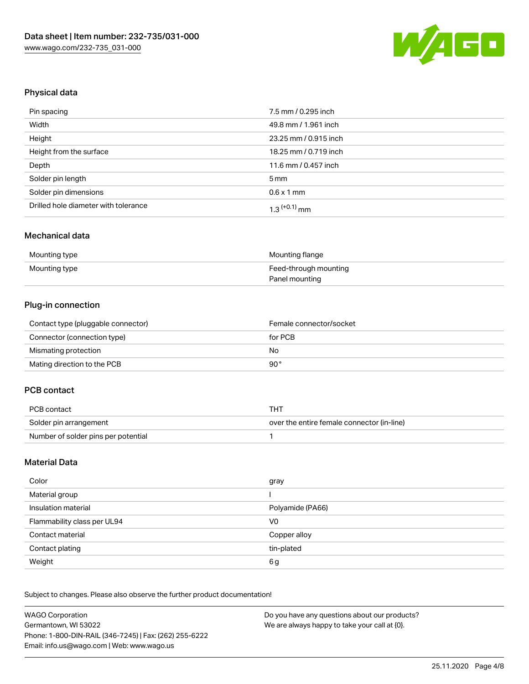

### Physical data

| Pin spacing                          | 7.5 mm / 0.295 inch   |
|--------------------------------------|-----------------------|
| Width                                | 49.8 mm / 1.961 inch  |
| Height                               | 23.25 mm / 0.915 inch |
| Height from the surface              | 18.25 mm / 0.719 inch |
| Depth                                | 11.6 mm / 0.457 inch  |
| Solder pin length                    | $5 \,\mathrm{mm}$     |
| Solder pin dimensions                | $0.6 \times 1$ mm     |
| Drilled hole diameter with tolerance | $1.3$ $(+0.1)$ mm     |

#### Mechanical data

| Mounting type | Mounting flange       |
|---------------|-----------------------|
| Mounting type | Feed-through mounting |
|               | Panel mounting        |

## Plug-in connection

| Contact type (pluggable connector) | Female connector/socket |
|------------------------------------|-------------------------|
| Connector (connection type)        | for PCB                 |
| Mismating protection               | No                      |
| Mating direction to the PCB        | 90°                     |

## PCB contact

| PCB contact                         | TH).                                       |
|-------------------------------------|--------------------------------------------|
| Solder pin arrangement              | over the entire female connector (in-line) |
| Number of solder pins per potential |                                            |

#### Material Data

| Color                       | gray             |
|-----------------------------|------------------|
| Material group              |                  |
| Insulation material         | Polyamide (PA66) |
| Flammability class per UL94 | V <sub>0</sub>   |
| Contact material            | Copper alloy     |
| Contact plating             | tin-plated       |
| Weight                      | 6g               |

Subject to changes. Please also observe the further product documentation!

| <b>WAGO Corporation</b>                                | Do you have any questions about our products? |
|--------------------------------------------------------|-----------------------------------------------|
| Germantown, WI 53022                                   | We are always happy to take your call at {0}. |
| Phone: 1-800-DIN-RAIL (346-7245)   Fax: (262) 255-6222 |                                               |
| Email: info.us@wago.com   Web: www.wago.us             |                                               |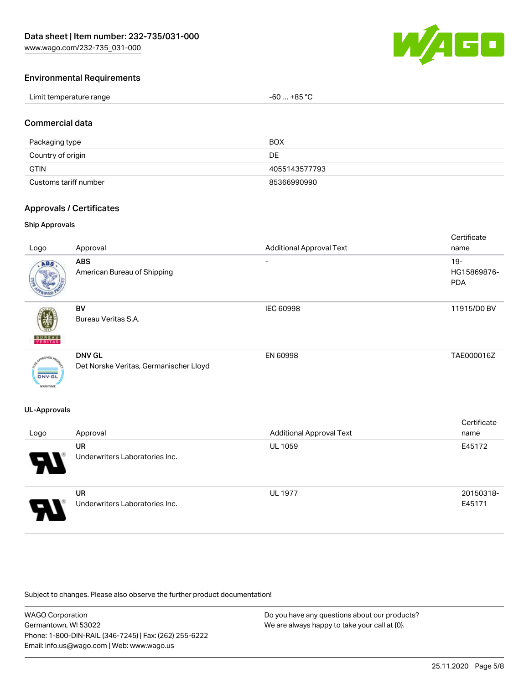[www.wago.com/232-735\\_031-000](http://www.wago.com/232-735_031-000)



#### Environmental Requirements

| Limit temperature range<br>the contract of the contract of the contract of the contract of the contract of the contract of the contract of | . +85 °C<br>- 60  - |
|--------------------------------------------------------------------------------------------------------------------------------------------|---------------------|
|--------------------------------------------------------------------------------------------------------------------------------------------|---------------------|

#### Commercial data

| Packaging type        | BOX           |
|-----------------------|---------------|
| Country of origin     | DE            |
| <b>GTIN</b>           | 4055143577793 |
| Customs tariff number | 85366990990   |

#### Approvals / Certificates

#### Ship Approvals

| Logo                             | Approval                                                | <b>Additional Approval Text</b> | Certificate<br>name                 |
|----------------------------------|---------------------------------------------------------|---------------------------------|-------------------------------------|
| ABS.                             | ABS<br>American Bureau of Shipping                      | -                               | $19 -$<br>HG15869876-<br><b>PDA</b> |
| <b>BUREA</b> I<br>VERITAS        | BV<br>Bureau Veritas S.A.                               | IEC 60998                       | 11915/D0 BV                         |
| <b>DNV-GL</b><br><b>MARITIME</b> | <b>DNV GL</b><br>Det Norske Veritas, Germanischer Lloyd | EN 60998                        | TAE000016Z                          |
| <b>UL-Approvals</b>              |                                                         |                                 |                                     |
| Logo                             | Approval                                                | <b>Additional Approval Text</b> | Certificate<br>name                 |
| J                                | <b>UR</b><br>Underwriters Laboratories Inc.             | <b>UL 1059</b>                  | E45172                              |



UR Underwriters Laboratories Inc.

UL 1977 20150318-E45171

Subject to changes. Please also observe the further product documentation!

WAGO Corporation Germantown, WI 53022 Phone: 1-800-DIN-RAIL (346-7245) | Fax: (262) 255-6222 Email: info.us@wago.com | Web: www.wago.us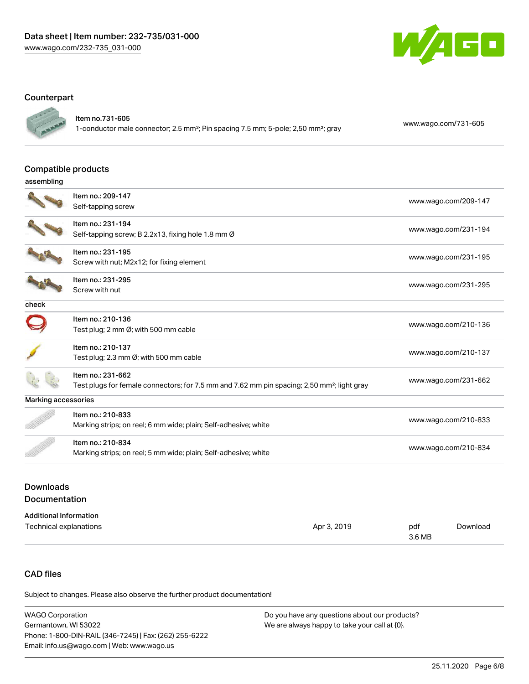

#### **Counterpart**



Item no.731-605

1-conductor male connector; 2.5 mm²; Pin spacing 7.5 mm; 5-pole; 2,50 mm²; gray [www.wago.com/731-605](https://www.wago.com/731-605)

#### Compatible products

| assembling          |                                                                                                                              |                      |
|---------------------|------------------------------------------------------------------------------------------------------------------------------|----------------------|
|                     | Item no.: 209-147<br>Self-tapping screw                                                                                      | www.wago.com/209-147 |
|                     | Item no.: 231-194<br>Self-tapping screw; B 2.2x13, fixing hole 1.8 mm Ø                                                      | www.wago.com/231-194 |
|                     | Item no.: 231-195<br>Screw with nut; M2x12; for fixing element                                                               | www.wago.com/231-195 |
|                     | Item no.: 231-295<br>Screw with nut                                                                                          | www.wago.com/231-295 |
| check               |                                                                                                                              |                      |
|                     | Item no.: 210-136<br>Test plug; 2 mm Ø; with 500 mm cable                                                                    | www.wago.com/210-136 |
|                     | Item no.: 210-137<br>Test plug; 2.3 mm Ø; with 500 mm cable                                                                  | www.wago.com/210-137 |
|                     | Item no.: 231-662<br>Test plugs for female connectors; for 7.5 mm and 7.62 mm pin spacing; 2,50 mm <sup>2</sup> ; light gray | www.wago.com/231-662 |
| Marking accessories |                                                                                                                              |                      |
|                     | Item no.: 210-833<br>Marking strips; on reel; 6 mm wide; plain; Self-adhesive; white                                         | www.wago.com/210-833 |
|                     | Item no.: 210-834<br>Marking strips; on reel; 5 mm wide; plain; Self-adhesive; white                                         | www.wago.com/210-834 |
|                     |                                                                                                                              |                      |

### Downloads Documentation

| <b>Additional Information</b> |             |               |          |
|-------------------------------|-------------|---------------|----------|
| Technical explanations        | Apr 3, 2019 | pdf<br>3.6 MB | Download |

## CAD files

Subject to changes. Please also observe the further product documentation!

| WAGO Corporation                                       | Do you have any questions about our products? |
|--------------------------------------------------------|-----------------------------------------------|
| Germantown. WI 53022                                   | We are always happy to take your call at {0}. |
| Phone: 1-800-DIN-RAIL (346-7245)   Fax: (262) 255-6222 |                                               |
| Email: info.us@wago.com   Web: www.wago.us             |                                               |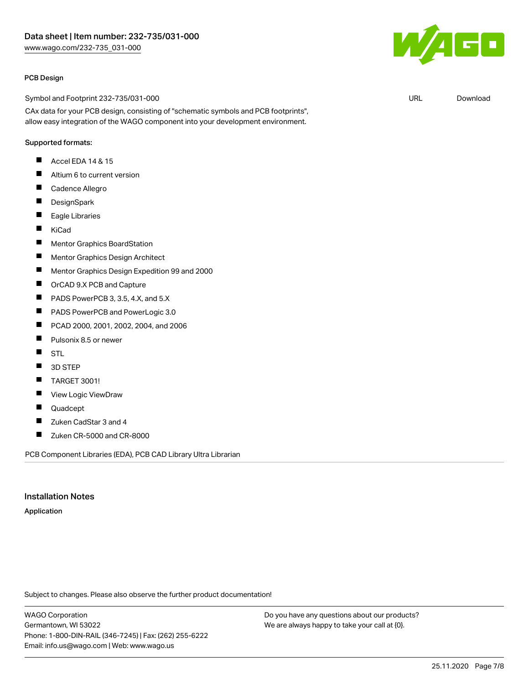#### PCB Design

Symbol and Footprint 232-735/031-000

CAx data for your PCB design, consisting of "schematic symbols and PCB footprints", allow easy integration of the WAGO component into your development environment.

### Supported formats:

- $\blacksquare$ Accel EDA 14 & 15
- $\blacksquare$ Altium 6 to current version
- $\blacksquare$ Cadence Allegro
- $\blacksquare$ **DesignSpark**
- $\blacksquare$ Eagle Libraries
- $\blacksquare$ KiCad
- $\blacksquare$ Mentor Graphics BoardStation
- $\blacksquare$ Mentor Graphics Design Architect
- $\blacksquare$ Mentor Graphics Design Expedition 99 and 2000
- $\blacksquare$ OrCAD 9.X PCB and Capture
- $\blacksquare$ PADS PowerPCB 3, 3.5, 4.X, and 5.X
- П PADS PowerPCB and PowerLogic 3.0
- $\blacksquare$ PCAD 2000, 2001, 2002, 2004, and 2006
- П Pulsonix 8.5 or newer
- $\blacksquare$ STL
- 3D STEP  $\blacksquare$
- TARGET 3001! П
- П View Logic ViewDraw
- П Quadcept
- $\blacksquare$ Zuken CadStar 3 and 4
- $\blacksquare$ Zuken CR-5000 and CR-8000

PCB Component Libraries (EDA), PCB CAD Library Ultra Librarian

#### Installation Notes

#### Application

Subject to changes. Please also observe the further product documentation!

WAGO Corporation Germantown, WI 53022 Phone: 1-800-DIN-RAIL (346-7245) | Fax: (262) 255-6222 Email: info.us@wago.com | Web: www.wago.us

Do you have any questions about our products? We are always happy to take your call at {0}.



URL [Download](https://www.wago.com/us/d/UltraLibrarian_URLS_232-735_031-000)